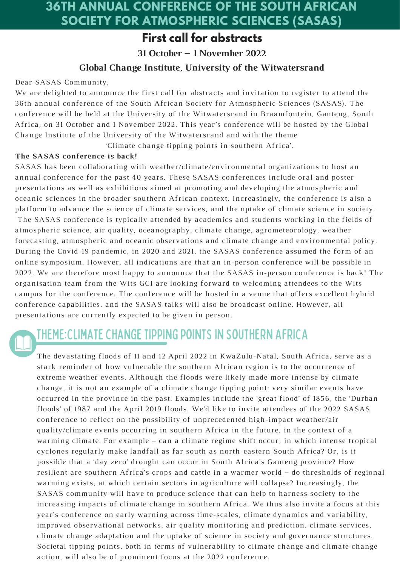# **36TH ANNUAL CONFERENCE OF THE SOUTH AFRICAN SOCIETY FOR ATMOSPHERIC SCIENCES (SASAS)**

## **First call for abstracts**

**31 October – 1 November 2022**

### **Global Change Institute, University of the Witwatersrand**

#### Dear SASAS Community,

We are delighted to announce the first call for abstracts and invitation to register to attend the 36th annual conference of the South African Society for Atmospheric Sciences (SASAS). The conference will be held at the University of the Witwatersrand in Braamfontein, Gauteng, South Africa, on 31 October and 1 November 2022. This year's conference will be hosted by the Global Change Institute of the University of the Witwatersrand and with the theme

'Climate change tipping points in southern Africa'.

#### **The SASAS conference is back!**

SASAS has been collaborating with weather/climate/environmental organizations to host an annual conference for the past 40 years. These SASAS conferences include oral and poster presentations as well as exhibitions aimed at promoting and developing the atmospheric and oceanic sciences in the broader southern African context. Increasingly, the conference is also a platform to advance the science of climate services, and the uptake of climate science in society. The SASAS conference is typically attended by academics and students working in the fields of atmospheric science, air quality, oceanography, climate change, agrometeorology, weather forecasting, atmospheric and oceanic observations and climate change and environmental policy. During the Covid-19 pandemic, in 2020 and 2021, the SASAS conference assumed the form of an online symposium. However, all indications are that an in-person conference will be possible in 2022. We are therefore most happy to announce that the SASAS in-person conference is back! The organisation team from the Wits GCI are looking forward to welcoming attendees to the Wits campus for the conference. The conference will be hosted in a venue that offers excellent hybrid conference capabilities, and the SASAS talks will also be broadcast online. However, all presentations are currently expected to be given in person.

# THEME: CLIMATE CHANGE TIPPING POINTS IN SOUTHERN AFRICA

The devastating floods of 11 and 12 April 2022 in KwaZulu-Natal, South Africa, serve as a stark reminder of how vulnerable the southern African region is to the occurrence of extreme weather events. Although the floods were likely made more intense by climate change, it is not an example of a climate change tipping point: very similar events have occurred in the province in the past. Examples include the 'great flood' of 1856, the 'Durban floods' of 1987 and the April 2019 floods. We'd like to invite attendees of the 2022 SASAS conference to reflect on the possibility of unprecedented high-impact weather/air quality/climate events occurring in southern Africa in the future, in the context of a warming climate. For example – can a climate regime shift occur, in which intense tropical cyclones regularly make landfall as far south as north-eastern South Africa? Or, is it possible that a 'day zero' drought can occur in South Africa's Gauteng province? How resilient are southern Africa's crops and cattle in a warmer world – do thresholds of regional warming exists, at which certain sectors in agriculture will collapse? Increasingly, the SASAS community will have to produce science that can help to harness society to the increasing impacts of climate change in southern Africa. We thus also invite a focus at this year's conference on early warning across time-scales, climate dynamics and variability, improved observational networks, air quality monitoring and prediction, climate services, climate change adaptation and the uptake of science in society and governance structures. Societal tipping points, both in terms of vulnerability to climate change and climate change action, will also be of prominent focus at the 2022 conference.